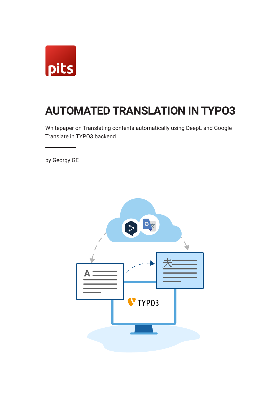

# **AUTOMATED TRANSLATION IN TYPO3**

Whitepaper on Translating contents automatically using DeepL and Google Translate in TYPO3 backend

by Georgy GE

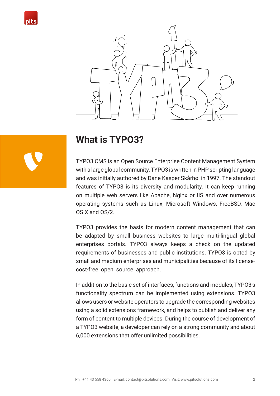



## **What is TYPO3?**

TYPO3 CMS is an Open Source Enterprise Content Management System with a large global community. TYPO3 is written in PHP scripting language and was initially authored by Dane Kasper Skårhøj in 1997. The standout features of TYPO3 is its diversity and modularity. It can keep running on multiple web servers like Apache, Nginx or IIS and over numerous operating systems such as Linux, Microsoft Windows, FreeBSD, Mac OS X and OS/2.

TYPO3 provides the basis for modern content management that can be adapted by small business websites to large multi-lingual global enterprises portals. TYPO3 always keeps a check on the updated requirements of businesses and public institutions. TYPO3 is opted by small and medium enterprises and municipalities because of its licensecost-free open source approach.

In addition to the basic set of interfaces, functions and modules, TYPO3's functionality spectrum can be implemented using extensions. TYPO3 allows users or website operators to upgrade the corresponding websites using a solid extensions framework, and helps to publish and deliver any form of content to multiple devices. During the course of development of a TYPO3 website, a developer can rely on a strong community and about 6,000 extensions that offer unlimited possibilities.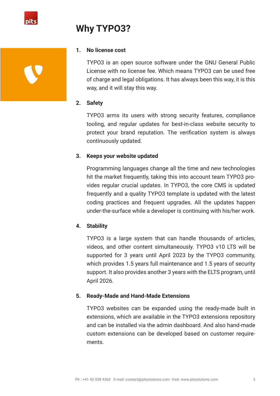

# **Why TYPO3?**

# **1. No license cost**

TYPO3 is an open source software under the GNU General Public License with no license fee. Which means TYPO3 can be used free of charge and legal obligations. It has always been this way, it is this way, and it will stay this way.

### **2. Safety**

TYPO3 arms its users with strong security features, compliance tooling, and regular updates for best-in-class website security to protect your brand reputation. The verification system is always continuously updated.

### **3. Keeps your website updated**

Programming languages change all the time and new technologies hit the market frequently, taking this into account team TYPO3 provides regular crucial updates. In TYPO3, the core CMS is updated frequently and a quality TYPO3 template is updated with the latest coding practices and frequent upgrades. All the updates happen under-the-surface while a developer is continuing with his/her work.

### **4. Stability**

TYPO3 is a large system that can handle thousands of articles, videos, and other content simultaneously. TYPO3 v10 LTS will be supported for 3 years until April 2023 by the TYPO3 community, which provides 1.5 years full maintenance and 1.5 years of security support. It also provides another 3 years with the ELTS program, until April 2026.

### **5. Ready-Made and Hand-Made Extensions**

TYPO3 websites can be expanded using the ready-made built in extensions, which are available in the TYPO3 extensions repository and can be installed via the admin dashboard. And also hand-made custom extensions can be developed based on customer requirements.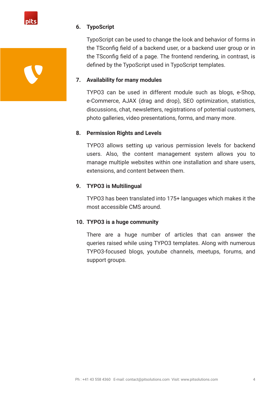

#### **6. TypoScript**

TypoScript can be used to change the look and behavior of forms in the TSconfig field of a backend user, or a backend user group or in the TSconfig field of a page. The frontend rendering, in contrast, is defined by the TypoScript used in TypoScript templates.

#### **7. Availability for many modules**

TYPO3 can be used in different module such as blogs, e-Shop, e-Commerce, AJAX (drag and drop), SEO optimization, statistics, discussions, chat, newsletters, registrations of potential customers, photo galleries, video presentations, forms, and many more.

#### **8. Permission Rights and Levels**

TYPO3 allows setting up various permission levels for backend users. Also, the content management system allows you to manage multiple websites within one installation and share users, extensions, and content between them.

#### **9. TYPO3 is Multilingual**

TYPO3 has been translated into 175+ languages which makes it the most accessible CMS around.

#### **10. TYPO3 is a huge community**

There are a huge number of articles that can answer the queries raised while using TYPO3 templates. Along with numerous TYPO3-focused blogs, youtube channels, meetups, forums, and support groups.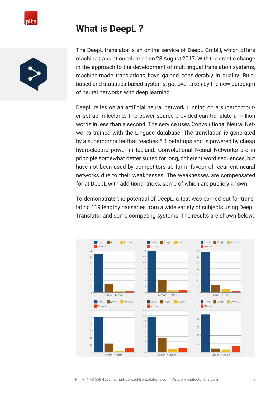

## **What is DeepL ?**



The DeepL translator is an online service of DeepL GmbH, which offers machine translation released on 28 August 2017. With the drastic change in the approach to the development of multilingual translation systems, machine-made translations have gained considerably in quality. Rulebased and statistics-based systems, got overtaken by the new paradigm of neural networks with deep learning.

DeepL relies on an artificial neural network running on a supercomputer set up in Iceland. The power source provided can translate a million words in less than a second. The service uses Convolutional Neural Networks trained with the Linguee database. The translation is generated by a supercomputer that reaches 5.1 petaflops and is powered by cheap hydroelectric power in Iceland. Convolutional Neural Networks are in principle somewhat better suited for long, coherent word sequences, but have not been used by competitors so far in favour of recurrent neural networks due to their weaknesses. The weaknesses are compensated for at DeepL with additional tricks, some of which are publicly known.

To demonstrate the potential of DeepL, a test was carried out for translating 119 lengthy passages from a wide variety of subjects using DeepL Translator and some competing systems. The results are shown below:

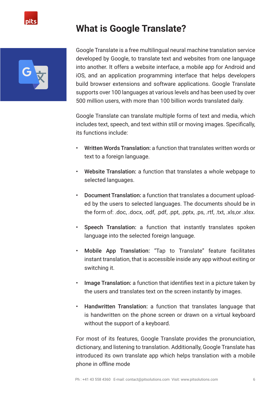

# **What is Google Translate?**



Google Translate is a free multilingual neural machine translation service developed by Google, to translate text and websites from one language into another. It offers a website interface, a mobile app for Android and iOS, and an application programming interface that helps developers build browser extensions and software applications. Google Translate supports over 100 languages at various levels and has been used by over 500 million users, with more than 100 billion words translated daily.

Google Translate can translate multiple forms of text and media, which includes text, speech, and text within still or moving images. Specifically, its functions include:

- Written Words Translation: a function that translates written words or text to a foreign language.
- Website Translation: a function that translates a whole webpage to selected languages.
- Document Translation: a function that translates a document uploaded by the users to selected languages. The documents should be in the form of: .doc, .docx, .odf, .pdf, .ppt, .pptx, .ps, .rtf, .txt, .xls,or .xlsx.
- Speech Translation: a function that instantly translates spoken language into the selected foreign language.
- Mobile App Translation: "Tap to Translate" feature facilitates instant translation, that is accessible inside any app without exiting or switching it.
- Image Translation: a function that identifies text in a picture taken by the users and translates text on the screen instantly by images.
- Handwritten Translation: a function that translates language that is handwritten on the phone screen or drawn on a virtual keyboard without the support of a keyboard.

For most of its features, Google Translate provides the pronunciation, dictionary, and listening to translation. Additionally, Google Translate has introduced its own translate app which helps translation with a mobile phone in offline mode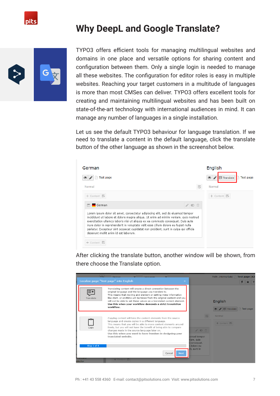# **Why DeepL and Google Translate?**



TYPO3 offers efficient tools for managing multilingual websites and domains in one place and versatile options for sharing content and configuration between them. Only a single login is needed to manage all these websites. The configuration for editor roles is easy in multiple websites. Reaching your target customers in a multitude of languages is more than most CMSes can deliver. TYPO3 offers excellent tools for creating and maintaining multilingual websites and has been built on state-of-the-art technology with international audiences in mind. It can manage any number of languages in a single installation.

Let us see the default TYPO3 behaviour for language translation. If we need to translate a content in the default language, click the translate button of the other language as shown in the screenshot below.

| German                                                                                                                                                                                                                                                                                                                                                                                                                                                                       | English                       |
|------------------------------------------------------------------------------------------------------------------------------------------------------------------------------------------------------------------------------------------------------------------------------------------------------------------------------------------------------------------------------------------------------------------------------------------------------------------------------|-------------------------------|
| Test page                                                                                                                                                                                                                                                                                                                                                                                                                                                                    | Test page<br>图 Translate<br>۲ |
| 乬<br>Normal                                                                                                                                                                                                                                                                                                                                                                                                                                                                  | Normal                        |
| $+$ Content                                                                                                                                                                                                                                                                                                                                                                                                                                                                  | + Content 昆                   |
| $\circ$<br>$\equiv$ $\blacksquare$ German                                                                                                                                                                                                                                                                                                                                                                                                                                    |                               |
| Lorem ipsum dolor sit amet, consectetur adipiscing elit, sed do eiusmod tempor<br>incididunt ut labore et dolore magna aligua. Ut enim ad minim veniam, quis nostrud<br>exercitation ullamco laboris nisi ut aliguip ex ea commodo conseguat. Duis aute<br>irure dolor in reprehenderit in voluptate velit esse cillum dolore eu fugiat nulla<br>pariatur. Excepteur sint occaecat cupidatat non proident, sunt in culpa qui officia<br>deserunt mollit anim id est laborum. |                               |
| Content                                                                                                                                                                                                                                                                                                                                                                                                                                                                      |                               |

After clicking the translate button, another window will be shown, from there choose the Translate option.

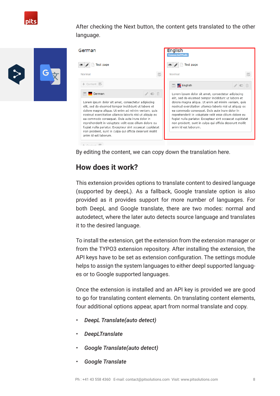

After checking the Next button, the content gets translated to the other language.



| German                                                                                                                                                                                                                                                                                                                                                                                                                                                                                | <b>English</b><br><b>Connected Mode</b>                                                                                                                                                                                                                                                                                                                                  |
|---------------------------------------------------------------------------------------------------------------------------------------------------------------------------------------------------------------------------------------------------------------------------------------------------------------------------------------------------------------------------------------------------------------------------------------------------------------------------------------|--------------------------------------------------------------------------------------------------------------------------------------------------------------------------------------------------------------------------------------------------------------------------------------------------------------------------------------------------------------------------|
| Test page                                                                                                                                                                                                                                                                                                                                                                                                                                                                             | Test page<br>$\circledast$                                                                                                                                                                                                                                                                                                                                               |
| 昆<br>Normal                                                                                                                                                                                                                                                                                                                                                                                                                                                                           | Normal                                                                                                                                                                                                                                                                                                                                                                   |
| + Content 图                                                                                                                                                                                                                                                                                                                                                                                                                                                                           | ■ K English                                                                                                                                                                                                                                                                                                                                                              |
| $\circ$ $\mathbb{m}$<br>German<br>EL                                                                                                                                                                                                                                                                                                                                                                                                                                                  | Lorem ipsum dolor sit amet, consectetur adipiscing<br>elit, sed do eiusmod tempor incididunt ut labore et                                                                                                                                                                                                                                                                |
| Lorem ipsum dolor sit amet, consectetur adipiscing<br>elit, sed do eiusmod tempor incididunt ut labore et<br>dolore magna aliqua. Ut enim ad minim veniam, quis<br>nostrud exercitation ullamco laboris nisi ut aliquip ex<br>ea commodo conseguat. Duis aute irure dolor in<br>reprehenderit in voluptate velit esse cillum dolore eu<br>fugiat nulla pariatur. Excepteur sint occaecat cupidatat<br>non proident, sunt in culpa qui officia deserunt mollit<br>anim id est laborum. | dolore magna aligua. Ut enim ad minim veniam, guis<br>nostrud exercitation ullamco laboris nisi ut aliquip ex<br>ea commodo conseguat. Duis aute irure dolor in<br>reprehenderit in voluptate velit esse cillum dolore eu<br>fugiat nulla pariatur. Excepteur sint occaecat cupidatat<br>non proident, sunt in culpa qui officia deserunt mollit<br>anim id est laborum. |

By editing the content, we can copy down the translation here.

### **How does it work?**

This extension provides options to translate content to desired language (supported by deepL). As a fallback, Google translate option is also provided as it provides support for more number of languages. For both DeepL and Google translate, there are two modes: normal and autodetect, where the later auto detects source language and translates it to the desired language.

To install the extension, get the extension from the extension manager or from the TYPO3 extension repository. After installing the extension, the API keys have to be set as extension configuration. The settings module helps to assign the system languages to either deepl supported languages or to Google supported languages.

Once the extension is installed and an API key is provided we are good to go for translating content elements. On translating content elements, four additional options appear, apart from normal translate and copy.

- *• DeepL Translate(auto detect)*
- *• DeepLTranslate*
- *• Google Translate(auto detect)*
- *• Google Translate*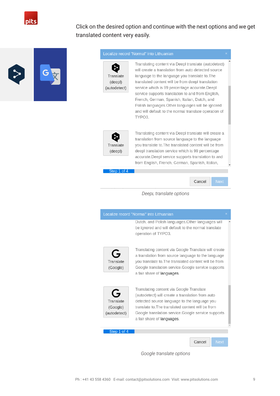

Click on the desired option and continue with the next options and we get translated content very easily.



Translating content via Deepl translate (autodetect) will create a translation from auto detected source language to the language you translate to. The translated content will be from deepl translation service which is 99 percentage accurate.Deepl service supports translation to and from English, French, German, Spanish, Italian, Dutch, and Polish languages. Other languages will be ignored and will default to the normal translate operation of TYPO3.



Translating content via Deepl translate will create a translation from source language to the language you translate to. The translated content will be from deepl translation service which is 99 percentage accurate. Deepl service supports translation to and from English, French, German, Spanish, Italian,

Step 1 of 4

Cancel

#### *DeepL translate options*



*Google translate options*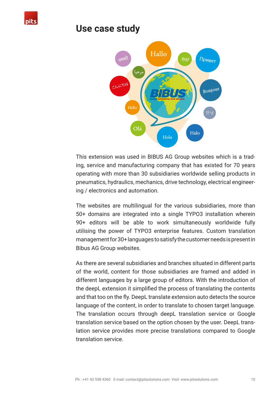

### **Use case study**



This extension was used in BIBUS AG Group websites which is a trading, service and manufacturing company that has existed for 70 years operating with more than 30 subsidiaries worldwide selling products in pneumatics, hydraulics, mechanics, drive technology, electrical engineering / electronics and automation.

The websites are multilingual for the various subsidiaries, more than 50+ domains are integrated into a single TYPO3 installation wherein 90+ editors will be able to work simultaneously worldwide fully utilising the power of TYPO3 enterprise features. Custom translation management for 30+ languages to satisfy the customer needs is present in Bibus AG Group websites.

As there are several subsidiaries and branches situated in different parts of the world, content for those subsidiaries are framed and added in different languages by a large group of editors. With the introduction of the deepL extension it simplified the process of translating the contents and that too on the fly. DeepL translate extension auto detects the source language of the content, in order to translate to chosen target language. The translation occurs through deepL translation service or Google translation service based on the option chosen by the user. DeepL translation service provides more precise translations compared to Google translation service.